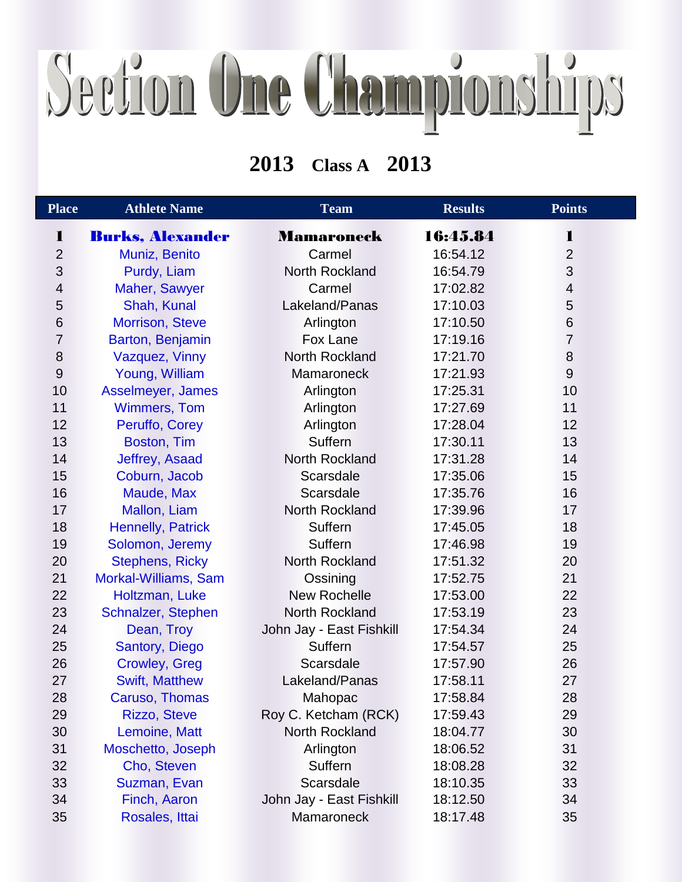## Section One Championships

## **Class A 2013**

| <b>Place</b>     | <b>Athlete Name</b>      | <b>Team</b>              | <b>Results</b> | <b>Points</b>            |  |
|------------------|--------------------------|--------------------------|----------------|--------------------------|--|
| 1                | <b>Burks, Alexander</b>  | Mamaroneck               | 16:45.84       | 1                        |  |
| $\overline{2}$   | Muniz, Benito            | Carmel                   | 16:54.12       | $\overline{2}$           |  |
| 3                | Purdy, Liam              | <b>North Rockland</b>    | 16:54.79       | 3                        |  |
| $\overline{4}$   | Maher, Sawyer            | Carmel                   | 17:02.82       | $\overline{\mathcal{A}}$ |  |
| 5                | Shah, Kunal              | Lakeland/Panas           | 17:10.03       | 5                        |  |
| 6                | <b>Morrison, Steve</b>   | Arlington                | 17:10.50       | $6\phantom{1}6$          |  |
| 7                | Barton, Benjamin         | Fox Lane                 | 17:19.16       | $\overline{7}$           |  |
| 8                | Vazquez, Vinny           | North Rockland           | 17:21.70       | $\bf 8$                  |  |
| $\boldsymbol{9}$ | Young, William           | Mamaroneck               | 17:21.93       | $\overline{9}$           |  |
| 10               | Asselmeyer, James        | Arlington                | 17:25.31       | 10                       |  |
| 11               | <b>Wimmers, Tom</b>      | Arlington                | 17:27.69       | 11                       |  |
| 12               | Peruffo, Corey           | Arlington                | 17:28.04       | 12                       |  |
| 13               | Boston, Tim              | Suffern                  | 17:30.11       | 13                       |  |
| 14               | Jeffrey, Asaad           | North Rockland           | 17:31.28       | 14                       |  |
| 15               | Coburn, Jacob            | Scarsdale                | 17:35.06       | 15                       |  |
| 16               | Maude, Max               | Scarsdale                | 17:35.76       | 16                       |  |
| 17               | Mallon, Liam             | North Rockland           | 17:39.96       | 17                       |  |
| 18               | <b>Hennelly, Patrick</b> | Suffern                  | 17:45.05       | 18                       |  |
| 19               | Solomon, Jeremy          | Suffern                  | 17:46.98       | 19                       |  |
| 20               | <b>Stephens, Ricky</b>   | North Rockland           | 17:51.32       | 20                       |  |
| 21               | Morkal-Williams, Sam     | Ossining                 | 17:52.75       | 21                       |  |
| 22               | Holtzman, Luke           | <b>New Rochelle</b>      | 17:53.00       | 22                       |  |
| 23               | Schnalzer, Stephen       | North Rockland           | 17:53.19       | 23                       |  |
| 24               | Dean, Troy               | John Jay - East Fishkill | 17:54.34       | 24                       |  |
| 25               | Santory, Diego           | Suffern                  | 17:54.57       | 25                       |  |
| 26               | <b>Crowley, Greg</b>     | Scarsdale                | 17:57.90       | 26                       |  |
| 27               | <b>Swift, Matthew</b>    | Lakeland/Panas           | 17:58.11       | 27                       |  |
| 28               | Caruso, Thomas           | Mahopac                  | 17:58.84       | 28                       |  |
| 29               | <b>Rizzo, Steve</b>      | Roy C. Ketcham (RCK)     | 17:59.43       | 29                       |  |
| 30               | Lemoine, Matt            | North Rockland           | 18:04.77       | 30                       |  |
| 31               | Moschetto, Joseph        | Arlington                | 18:06.52       | 31                       |  |
| 32               | Cho, Steven              | Suffern                  | 18:08.28       | 32                       |  |
| 33               | Suzman, Evan             | Scarsdale                | 18:10.35       | 33                       |  |
| 34               | Finch, Aaron             | John Jay - East Fishkill | 18:12.50       | 34                       |  |
| 35               | Rosales, Ittai           | Mamaroneck               | 18:17.48       | 35                       |  |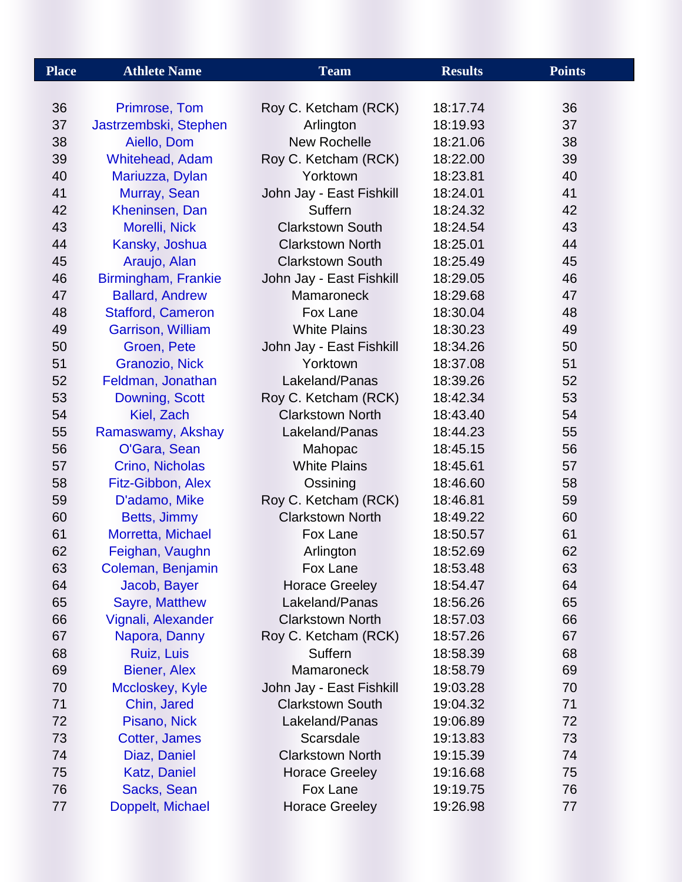| <b>Place</b> | <b>Athlete Name</b><br><b>Team</b> |                          | <b>Results</b> | <b>Points</b> |
|--------------|------------------------------------|--------------------------|----------------|---------------|
|              |                                    |                          |                |               |
| 36           | Primrose, Tom                      | Roy C. Ketcham (RCK)     | 18:17.74       | 36            |
| 37           | Jastrzembski, Stephen              | Arlington                | 18:19.93       | 37            |
| 38           | Aiello, Dom                        | <b>New Rochelle</b>      | 18:21.06       | 38            |
| 39           | Whitehead, Adam                    | Roy C. Ketcham (RCK)     | 18:22.00       | 39            |
| 40           | Mariuzza, Dylan                    | Yorktown                 | 18:23.81       | 40            |
| 41           | Murray, Sean                       | John Jay - East Fishkill | 18:24.01       | 41            |
| 42           | Kheninsen, Dan                     | Suffern                  | 18:24.32       | 42            |
| 43           | Morelli, Nick                      | <b>Clarkstown South</b>  | 18:24.54       | 43            |
| 44           | Kansky, Joshua                     | <b>Clarkstown North</b>  | 18:25.01       | 44            |
| 45           | Araujo, Alan                       | <b>Clarkstown South</b>  | 18:25.49       | 45            |
| 46           | Birmingham, Frankie                | John Jay - East Fishkill | 18:29.05       | 46            |
| 47           | <b>Ballard, Andrew</b>             | Mamaroneck               | 18:29.68       | 47            |
| 48           | <b>Stafford, Cameron</b>           | Fox Lane                 | 18:30.04       | 48            |
| 49           | <b>Garrison, William</b>           | <b>White Plains</b>      | 18:30.23       | 49            |
| 50           | Groen, Pete                        | John Jay - East Fishkill | 18:34.26       | 50            |
| 51           | Granozio, Nick                     | Yorktown                 | 18:37.08       | 51            |
| 52           | Feldman, Jonathan                  | Lakeland/Panas           | 18:39.26       | 52            |
| 53           | Downing, Scott                     | Roy C. Ketcham (RCK)     | 18:42.34       | 53            |
| 54           | Kiel, Zach                         | <b>Clarkstown North</b>  | 18:43.40       | 54            |
| 55           | Ramaswamy, Akshay                  | Lakeland/Panas           | 18:44.23       | 55            |
| 56           | O'Gara, Sean                       | Mahopac                  | 18:45.15       | 56            |
| 57           | Crino, Nicholas                    | <b>White Plains</b>      | 18:45.61       | 57            |
| 58           | Fitz-Gibbon, Alex                  | Ossining                 | 18:46.60       | 58            |
| 59           | D'adamo, Mike                      | Roy C. Ketcham (RCK)     | 18:46.81       | 59            |
| 60           | Betts, Jimmy                       | <b>Clarkstown North</b>  | 18:49.22       | 60            |
| 61           | Morretta, Michael                  | Fox Lane                 | 18:50.57       | 61            |
| 62           | Feighan, Vaughn                    | Arlington                | 18:52.69       | 62            |
| 63           | Coleman, Benjamin                  | Fox Lane                 | 18:53.48       | 63            |
| 64           | Jacob, Bayer                       | <b>Horace Greeley</b>    | 18:54.47       | 64            |
| 65           | <b>Sayre, Matthew</b>              | Lakeland/Panas           | 18:56.26       | 65            |
| 66           | Vignali, Alexander                 | <b>Clarkstown North</b>  | 18:57.03       | 66            |
| 67           | Napora, Danny                      | Roy C. Ketcham (RCK)     | 18:57.26       | 67            |
| 68           | Ruiz, Luis                         | Suffern                  | 18:58.39       | 68            |
| 69           | <b>Biener, Alex</b>                | <b>Mamaroneck</b>        | 18:58.79       | 69            |
| 70           | Mccloskey, Kyle                    | John Jay - East Fishkill | 19:03.28       | 70            |
| 71           | Chin, Jared                        | <b>Clarkstown South</b>  | 19:04.32       | 71            |
| 72           | Pisano, Nick                       | Lakeland/Panas           | 19:06.89       | 72            |
| 73           | Cotter, James                      | Scarsdale                | 19:13.83       | 73            |
| 74           | Diaz, Daniel                       | <b>Clarkstown North</b>  | 19:15.39       | 74            |
| 75           | <b>Katz, Daniel</b>                | <b>Horace Greeley</b>    | 19:16.68       | 75            |
| 76           | Sacks, Sean                        | Fox Lane                 | 19:19.75       | 76            |
| 77           | Doppelt, Michael                   | <b>Horace Greeley</b>    | 19:26.98       | 77            |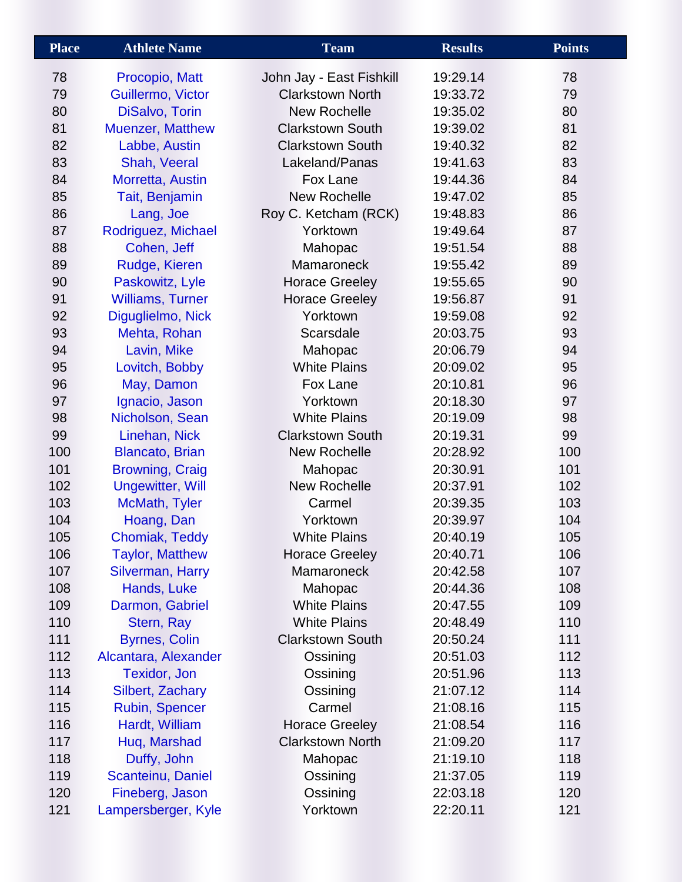| <b>Place</b> | <b>Athlete Name</b>     | <b>Team</b>              | <b>Results</b> | <b>Points</b> |
|--------------|-------------------------|--------------------------|----------------|---------------|
| 78           | Procopio, Matt          | John Jay - East Fishkill | 19:29.14       | 78            |
| 79           | Guillermo, Victor       | <b>Clarkstown North</b>  | 19:33.72       | 79            |
| 80           | DiSalvo, Torin          | <b>New Rochelle</b>      | 19:35.02       | 80            |
| 81           | Muenzer, Matthew        | <b>Clarkstown South</b>  | 19:39.02       | 81            |
| 82           | Labbe, Austin           | <b>Clarkstown South</b>  | 19:40.32       | 82            |
| 83           | Shah, Veeral            | Lakeland/Panas           | 19:41.63       | 83            |
| 84           | Morretta, Austin        | Fox Lane                 | 19:44.36       | 84            |
| 85           | Tait, Benjamin          | <b>New Rochelle</b>      | 19:47.02       | 85            |
| 86           | Lang, Joe               | Roy C. Ketcham (RCK)     | 19:48.83       | 86            |
| 87           | Rodriguez, Michael      | Yorktown                 | 19:49.64       | 87            |
| 88           | Cohen, Jeff             | Mahopac                  | 19:51.54       | 88            |
| 89           | Rudge, Kieren           | <b>Mamaroneck</b>        | 19:55.42       | 89            |
| 90           | Paskowitz, Lyle         | <b>Horace Greeley</b>    | 19:55.65       | 90            |
| 91           | <b>Williams, Turner</b> | <b>Horace Greeley</b>    | 19:56.87       | 91            |
| 92           | Diguglielmo, Nick       | Yorktown                 | 19:59.08       | 92            |
| 93           | Mehta, Rohan            | Scarsdale                | 20:03.75       | 93            |
| 94           | Lavin, Mike             | Mahopac                  | 20:06.79       | 94            |
| 95           | Lovitch, Bobby          | <b>White Plains</b>      | 20:09.02       | 95            |
| 96           | May, Damon              | Fox Lane                 | 20:10.81       | 96            |
| 97           | Ignacio, Jason          | Yorktown                 | 20:18.30       | 97            |
| 98           | Nicholson, Sean         | <b>White Plains</b>      | 20:19.09       | 98            |
| 99           | Linehan, Nick           | <b>Clarkstown South</b>  | 20:19.31       | 99            |
| 100          | <b>Blancato, Brian</b>  | <b>New Rochelle</b>      | 20:28.92       | 100           |
| 101          | <b>Browning, Craig</b>  | Mahopac                  | 20:30.91       | 101           |
| 102          | <b>Ungewitter, Will</b> | <b>New Rochelle</b>      | 20:37.91       | 102           |
| 103          | McMath, Tyler           | Carmel                   | 20:39.35       | 103           |
| 104          | Hoang, Dan              | Yorktown                 | 20:39.97       | 104           |
| 105          | Chomiak, Teddy          | <b>White Plains</b>      | 20:40.19       | 105           |
| 106          | <b>Taylor, Matthew</b>  | <b>Horace Greeley</b>    | 20:40.71       | 106           |
| 107          | <b>Silverman, Harry</b> | <b>Mamaroneck</b>        | 20:42.58       | 107           |
| 108          | Hands, Luke             | Mahopac                  | 20:44.36       | 108           |
| 109          | Darmon, Gabriel         | <b>White Plains</b>      | 20:47.55       | 109           |
| 110          | Stern, Ray              | <b>White Plains</b>      | 20:48.49       | 110           |
| 111          | <b>Byrnes, Colin</b>    | <b>Clarkstown South</b>  | 20:50.24       | 111           |
| 112          | Alcantara, Alexander    | Ossining                 | 20:51.03       | 112           |
| 113          | <b>Texidor, Jon</b>     | Ossining                 | 20:51.96       | 113           |
| 114          | Silbert, Zachary        | Ossining                 | 21:07.12       | 114           |
| 115          | <b>Rubin, Spencer</b>   | Carmel                   | 21:08.16       | 115           |
| 116          | Hardt, William          | <b>Horace Greeley</b>    | 21:08.54       | 116           |
| 117          | Huq, Marshad            | <b>Clarkstown North</b>  | 21:09.20       | 117           |
| 118          | Duffy, John             | Mahopac                  | 21:19.10       | 118           |
| 119          | Scanteinu, Daniel       | Ossining                 | 21:37.05       | 119           |
| 120          | Fineberg, Jason         | Ossining                 | 22:03.18       | 120           |
| 121          | Lampersberger, Kyle     | Yorktown                 | 22:20.11       | 121           |